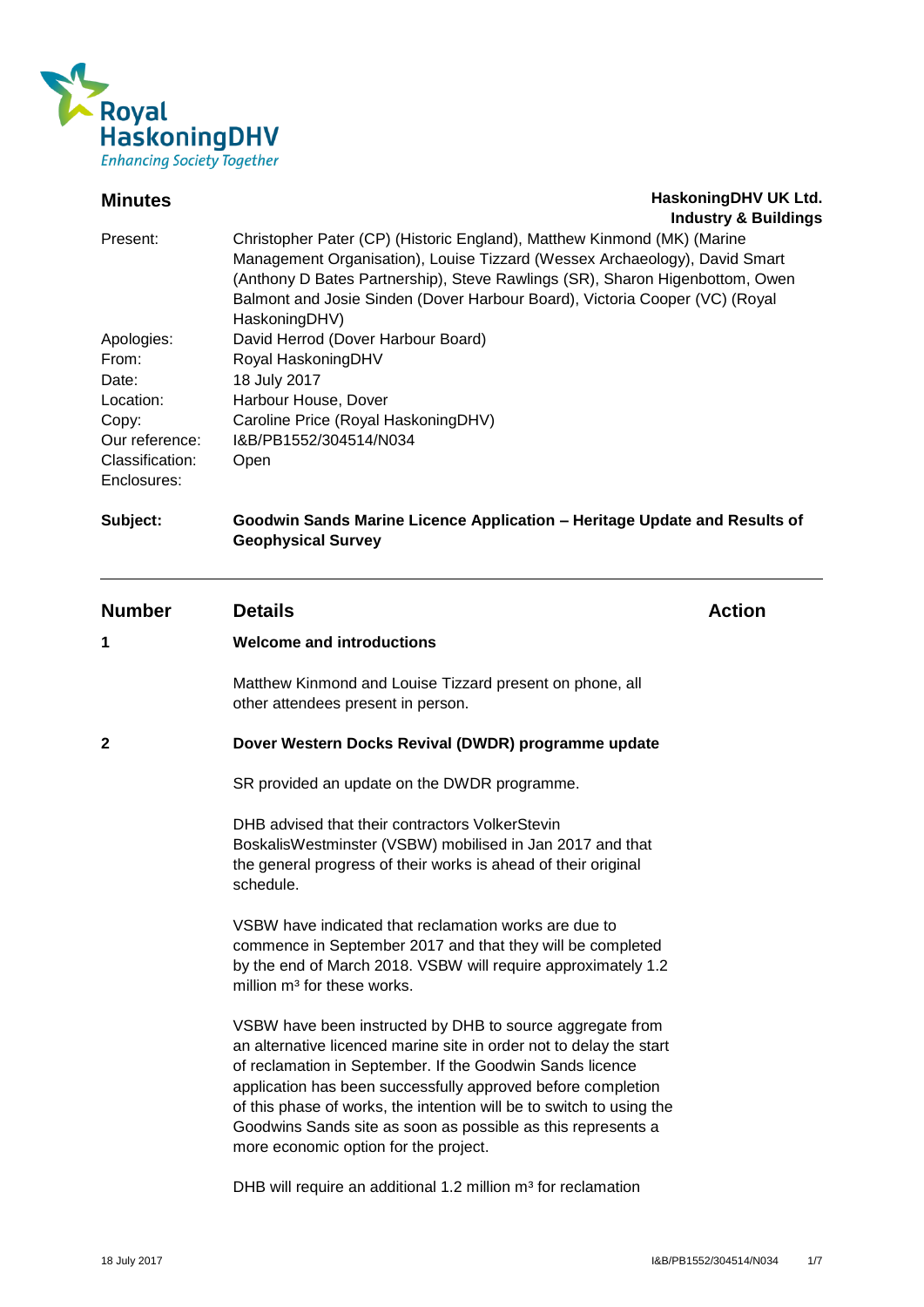

# **Minutes HaskoningDHV UK Ltd. Industry & Buildings**

| Present:                       | Christopher Pater (CP) (Historic England), Matthew Kinmond (MK) (Marine<br>Management Organisation), Louise Tizzard (Wessex Archaeology), David Smart<br>(Anthony D Bates Partnership), Steve Rawlings (SR), Sharon Higenbottom, Owen<br>Balmont and Josie Sinden (Dover Harbour Board), Victoria Cooper (VC) (Royal<br>HaskoningDHV) |
|--------------------------------|---------------------------------------------------------------------------------------------------------------------------------------------------------------------------------------------------------------------------------------------------------------------------------------------------------------------------------------|
| Apologies:                     | David Herrod (Dover Harbour Board)                                                                                                                                                                                                                                                                                                    |
| From:                          | Royal HaskoningDHV                                                                                                                                                                                                                                                                                                                    |
| Date:                          | 18 July 2017                                                                                                                                                                                                                                                                                                                          |
| Location:                      | Harbour House, Dover                                                                                                                                                                                                                                                                                                                  |
| Copy:                          | Caroline Price (Royal HaskoningDHV)                                                                                                                                                                                                                                                                                                   |
| Our reference:                 | I&B/PB1552/304514/N034                                                                                                                                                                                                                                                                                                                |
| Classification:<br>Enclosures: | Open                                                                                                                                                                                                                                                                                                                                  |

# **Subject: Goodwin Sands Marine Licence Application – Heritage Update and Results of Geophysical Survey**

# **Number Details Action**

# **1 Welcome and introductions**

Matthew Kinmond and Louise Tizzard present on phone, all other attendees present in person.

# **2 Dover Western Docks Revival (DWDR) programme update**

SR provided an update on the DWDR programme.

DHB advised that their contractors VolkerStevin BoskalisWestminster (VSBW) mobilised in Jan 2017 and that the general progress of their works is ahead of their original schedule.

VSBW have indicated that reclamation works are due to commence in September 2017 and that they will be completed by the end of March 2018. VSBW will require approximately 1.2 million m<sup>3</sup> for these works.

VSBW have been instructed by DHB to source aggregate from an alternative licenced marine site in order not to delay the start of reclamation in September. If the Goodwin Sands licence application has been successfully approved before completion of this phase of works, the intention will be to switch to using the Goodwins Sands site as soon as possible as this represents a more economic option for the project.

DHB will require an additional 1.2 million  $m<sup>3</sup>$  for reclamation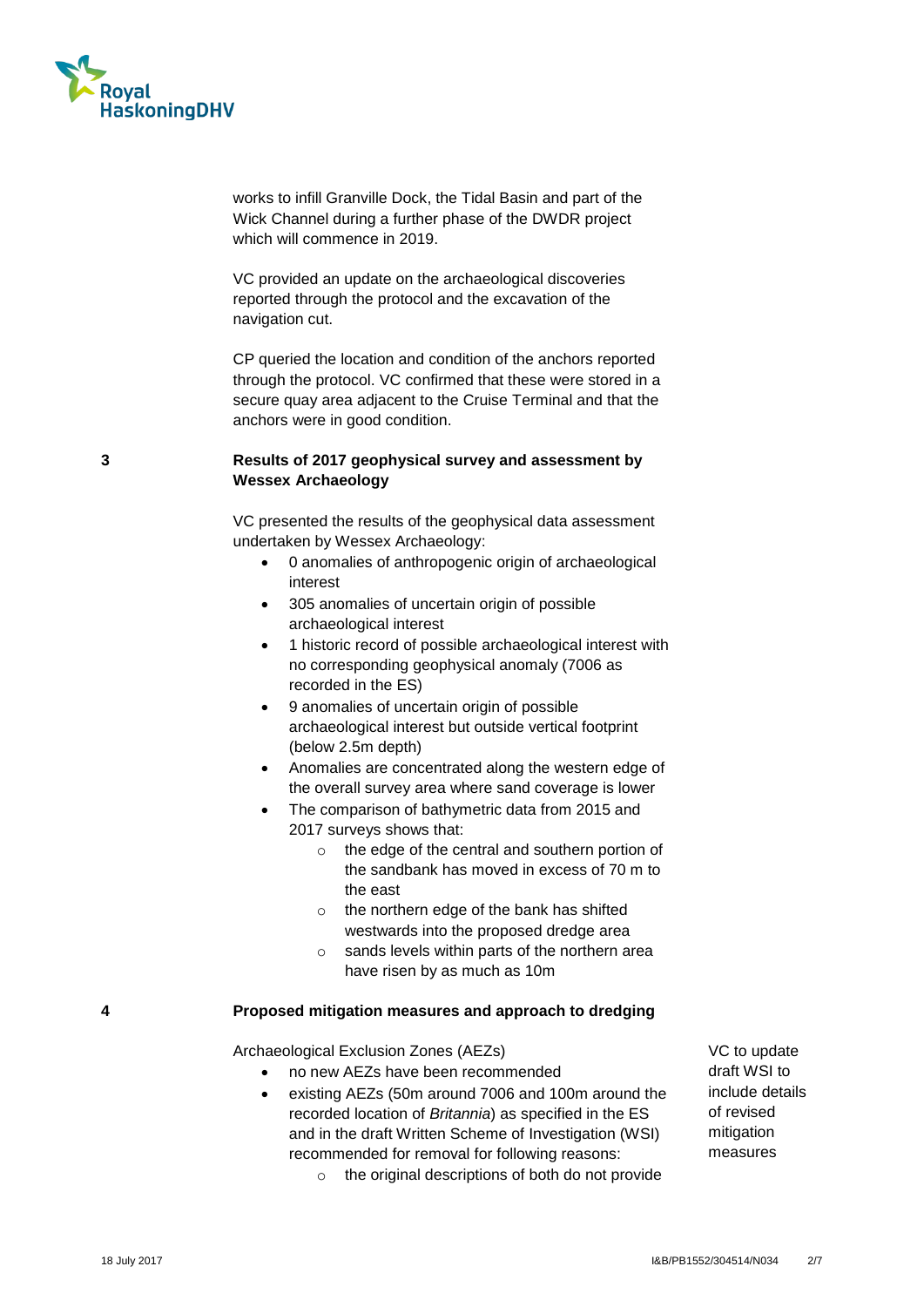

works to infill Granville Dock, the Tidal Basin and part of the Wick Channel during a further phase of the DWDR project which will commence in 2019.

VC provided an update on the archaeological discoveries reported through the protocol and the excavation of the navigation cut.

CP queried the location and condition of the anchors reported through the protocol. VC confirmed that these were stored in a secure quay area adjacent to the Cruise Terminal and that the anchors were in good condition.

# **3 Results of 2017 geophysical survey and assessment by Wessex Archaeology**

VC presented the results of the geophysical data assessment undertaken by Wessex Archaeology:

- 0 anomalies of anthropogenic origin of archaeological interest
- 305 anomalies of uncertain origin of possible archaeological interest
- 1 historic record of possible archaeological interest with no corresponding geophysical anomaly (7006 as recorded in the ES)
- 9 anomalies of uncertain origin of possible archaeological interest but outside vertical footprint (below 2.5m depth)
- Anomalies are concentrated along the western edge of the overall survey area where sand coverage is lower
- The comparison of bathymetric data from 2015 and 2017 surveys shows that:
	- o the edge of the central and southern portion of the sandbank has moved in excess of 70 m to the east
	- o the northern edge of the bank has shifted westwards into the proposed dredge area
	- o sands levels within parts of the northern area have risen by as much as 10m

#### **4 Proposed mitigation measures and approach to dredging**

Archaeological Exclusion Zones (AEZs)

- no new AEZs have been recommended
- existing AEZs (50m around 7006 and 100m around the recorded location of *Britannia*) as specified in the ES and in the draft Written Scheme of Investigation (WSI) recommended for removal for following reasons:
	- o the original descriptions of both do not provide

VC to update draft WSI to include details of revised mitigation measures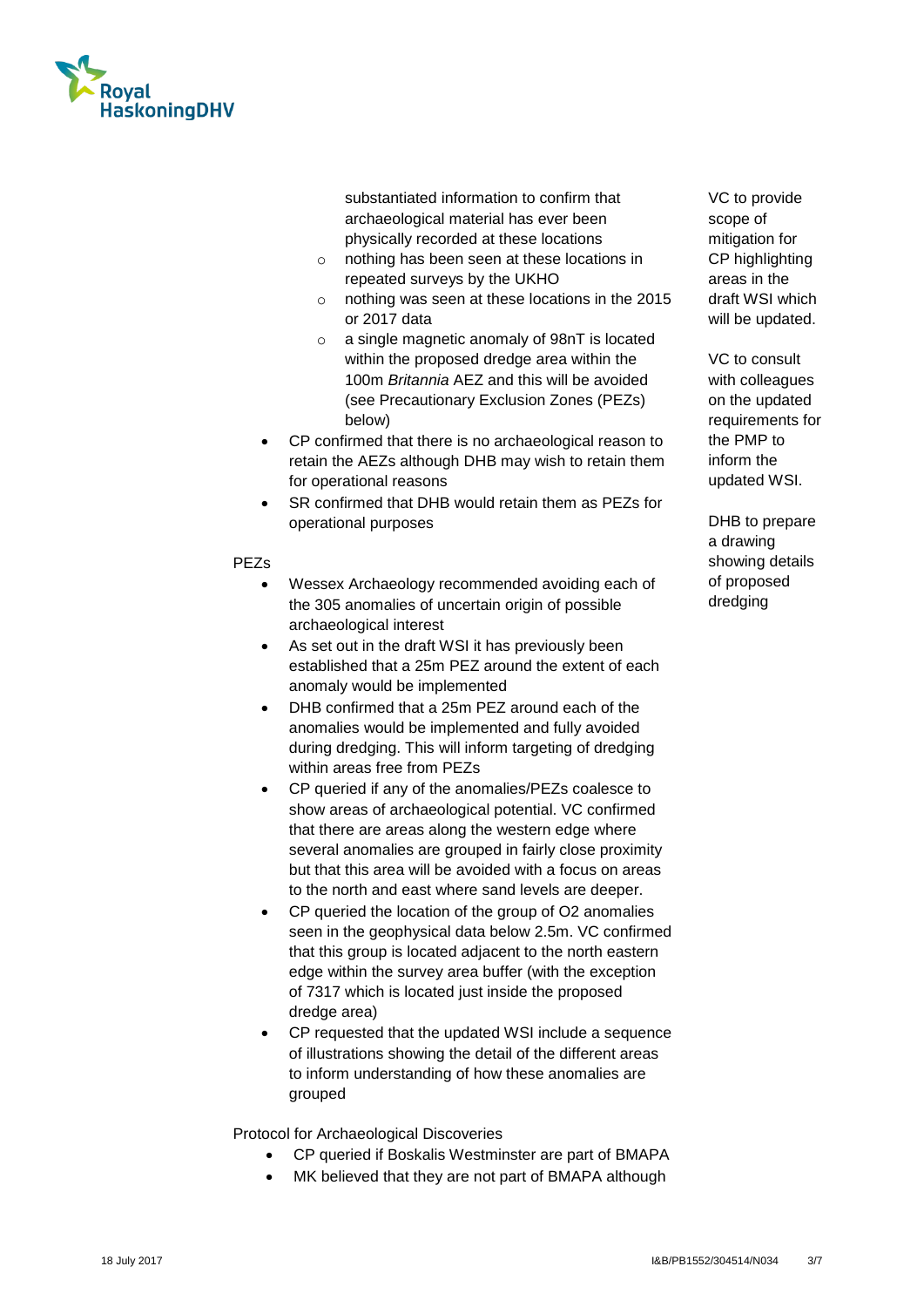

substantiated information to confirm that archaeological material has ever been physically recorded at these locations

- o nothing has been seen at these locations in repeated surveys by the UKHO
- o nothing was seen at these locations in the 2015 or 2017 data
- o a single magnetic anomaly of 98nT is located within the proposed dredge area within the 100m *Britannia* AEZ and this will be avoided (see Precautionary Exclusion Zones (PEZs) below)
- CP confirmed that there is no archaeological reason to retain the AEZs although DHB may wish to retain them for operational reasons
- SR confirmed that DHB would retain them as PEZs for operational purposes

#### PEZs

- Wessex Archaeology recommended avoiding each of the 305 anomalies of uncertain origin of possible archaeological interest
- As set out in the draft WSI it has previously been established that a 25m PEZ around the extent of each anomaly would be implemented
- DHB confirmed that a 25m PEZ around each of the anomalies would be implemented and fully avoided during dredging. This will inform targeting of dredging within areas free from PEZs
- CP queried if any of the anomalies/PEZs coalesce to show areas of archaeological potential. VC confirmed that there are areas along the western edge where several anomalies are grouped in fairly close proximity but that this area will be avoided with a focus on areas to the north and east where sand levels are deeper.
- CP queried the location of the group of O2 anomalies seen in the geophysical data below 2.5m. VC confirmed that this group is located adjacent to the north eastern edge within the survey area buffer (with the exception of 7317 which is located just inside the proposed dredge area)
- CP requested that the updated WSI include a sequence of illustrations showing the detail of the different areas to inform understanding of how these anomalies are grouped

Protocol for Archaeological Discoveries

- CP queried if Boskalis Westminster are part of BMAPA
- MK believed that they are not part of BMAPA although

VC to provide scope of mitigation for CP highlighting areas in the draft WSI which will be updated.

VC to consult with colleagues on the updated requirements for the PMP to inform the updated WSI.

DHB to prepare a drawing showing details of proposed dredging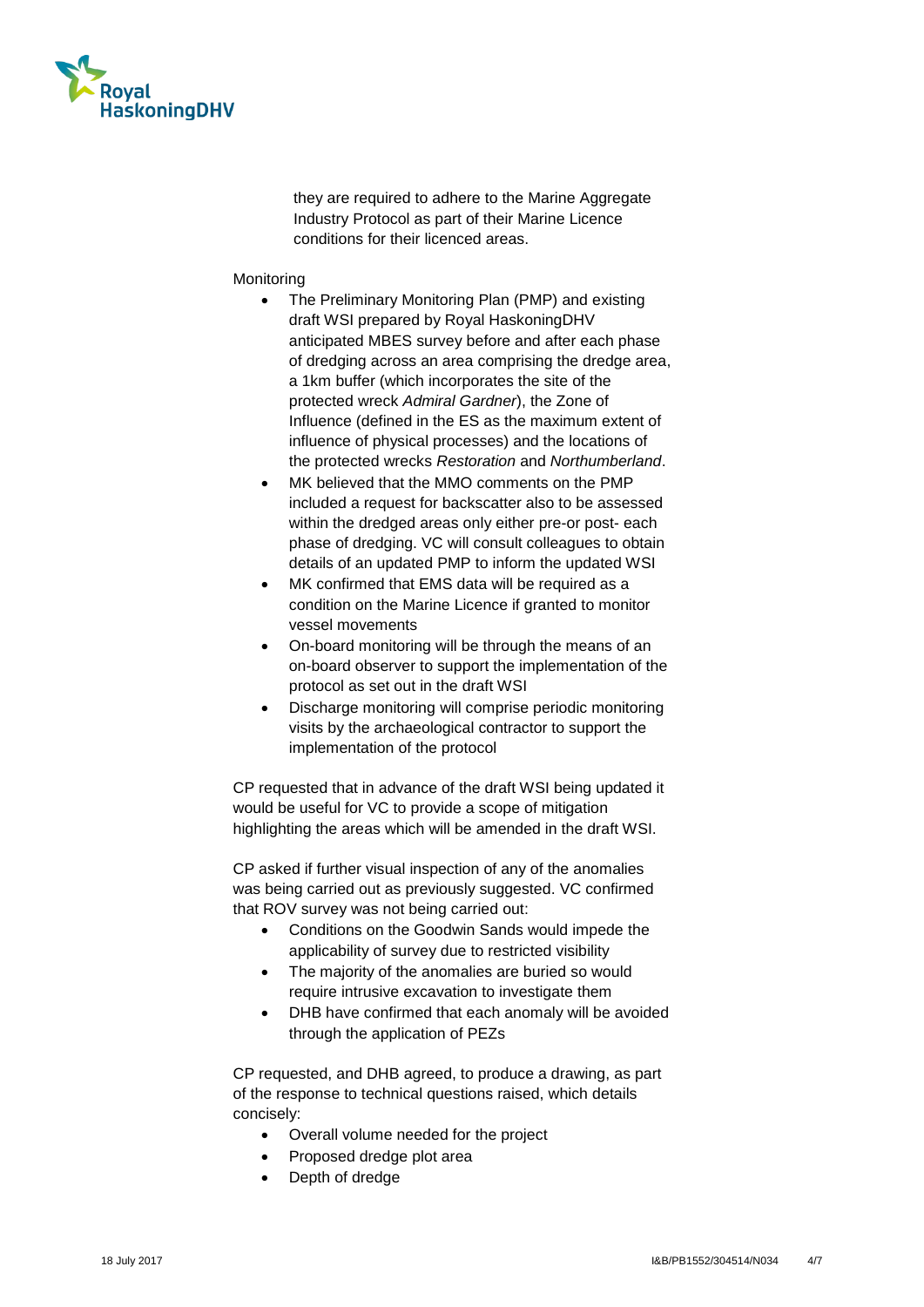

they are required to adhere to the Marine Aggregate Industry Protocol as part of their Marine Licence conditions for their licenced areas.

#### Monitoring

- The Preliminary Monitoring Plan (PMP) and existing draft WSI prepared by Royal HaskoningDHV anticipated MBES survey before and after each phase of dredging across an area comprising the dredge area, a 1km buffer (which incorporates the site of the protected wreck *Admiral Gardner*), the Zone of Influence (defined in the ES as the maximum extent of influence of physical processes) and the locations of the protected wrecks *Restoration* and *Northumberland*.
- MK believed that the MMO comments on the PMP included a request for backscatter also to be assessed within the dredged areas only either pre-or post- each phase of dredging. VC will consult colleagues to obtain details of an updated PMP to inform the updated WSI
- MK confirmed that EMS data will be required as a condition on the Marine Licence if granted to monitor vessel movements
- On-board monitoring will be through the means of an on-board observer to support the implementation of the protocol as set out in the draft WSI
- Discharge monitoring will comprise periodic monitoring visits by the archaeological contractor to support the implementation of the protocol

CP requested that in advance of the draft WSI being updated it would be useful for VC to provide a scope of mitigation highlighting the areas which will be amended in the draft WSI.

CP asked if further visual inspection of any of the anomalies was being carried out as previously suggested. VC confirmed that ROV survey was not being carried out:

- Conditions on the Goodwin Sands would impede the applicability of survey due to restricted visibility
- The majority of the anomalies are buried so would require intrusive excavation to investigate them
- DHB have confirmed that each anomaly will be avoided through the application of PEZs

CP requested, and DHB agreed, to produce a drawing, as part of the response to technical questions raised, which details concisely:

- Overall volume needed for the project
- Proposed dredge plot area
- Depth of dredge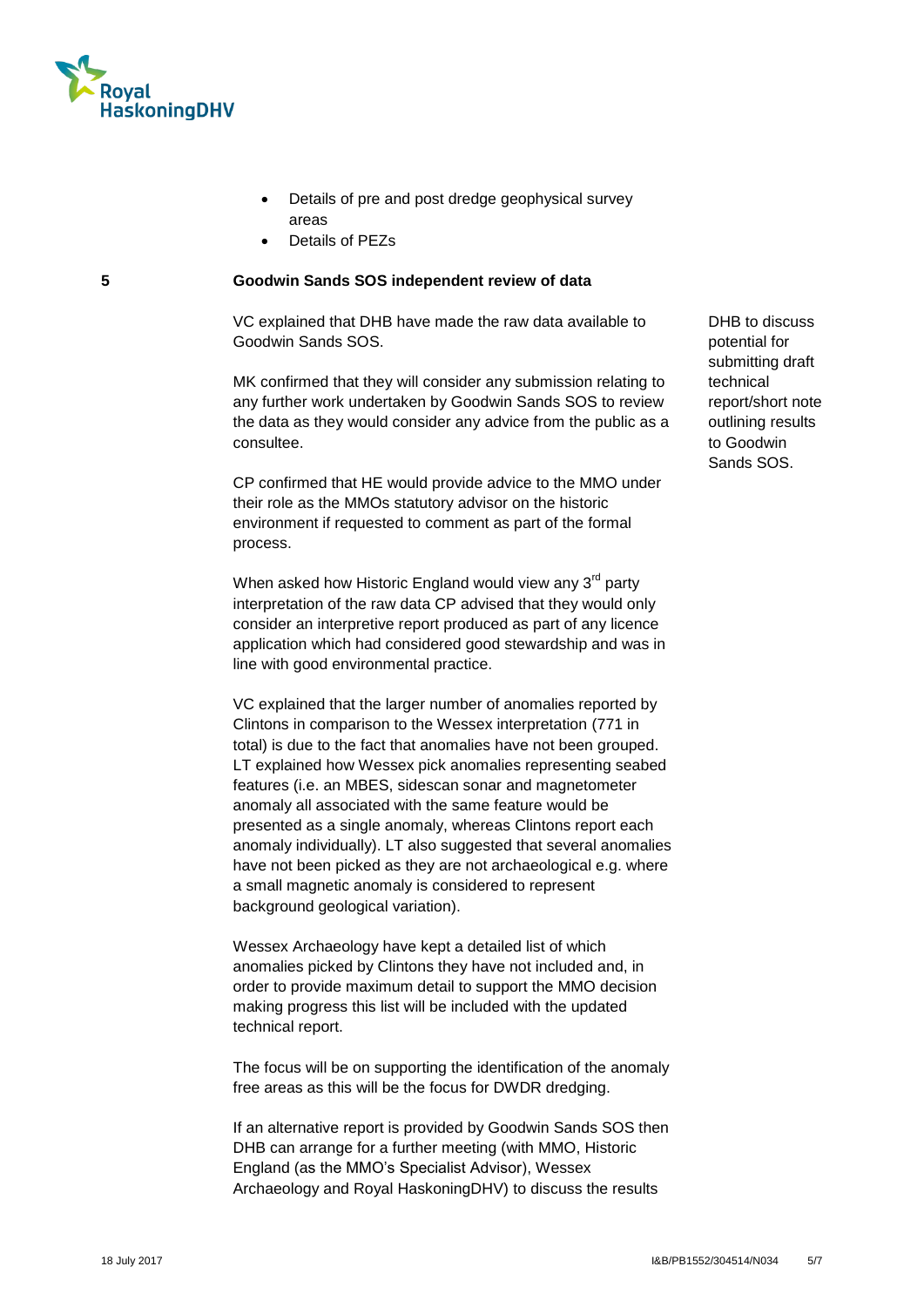

- Details of pre and post dredge geophysical survey areas
- Details of PEZs

### **5 Goodwin Sands SOS independent review of data**

VC explained that DHB have made the raw data available to Goodwin Sands SOS.

MK confirmed that they will consider any submission relating to any further work undertaken by Goodwin Sands SOS to review the data as they would consider any advice from the public as a consultee.

CP confirmed that HE would provide advice to the MMO under their role as the MMOs statutory advisor on the historic environment if requested to comment as part of the formal process.

When asked how Historic England would view any  $3<sup>rd</sup>$  party interpretation of the raw data CP advised that they would only consider an interpretive report produced as part of any licence application which had considered good stewardship and was in line with good environmental practice.

VC explained that the larger number of anomalies reported by Clintons in comparison to the Wessex interpretation (771 in total) is due to the fact that anomalies have not been grouped. LT explained how Wessex pick anomalies representing seabed features (i.e. an MBES, sidescan sonar and magnetometer anomaly all associated with the same feature would be presented as a single anomaly, whereas Clintons report each anomaly individually). LT also suggested that several anomalies have not been picked as they are not archaeological e.g. where a small magnetic anomaly is considered to represent background geological variation).

Wessex Archaeology have kept a detailed list of which anomalies picked by Clintons they have not included and, in order to provide maximum detail to support the MMO decision making progress this list will be included with the updated technical report.

The focus will be on supporting the identification of the anomaly free areas as this will be the focus for DWDR dredging.

If an alternative report is provided by Goodwin Sands SOS then DHB can arrange for a further meeting (with MMO, Historic England (as the MMO's Specialist Advisor), Wessex Archaeology and Royal HaskoningDHV) to discuss the results

DHB to discuss potential for submitting draft technical report/short note outlining results to Goodwin Sands SOS.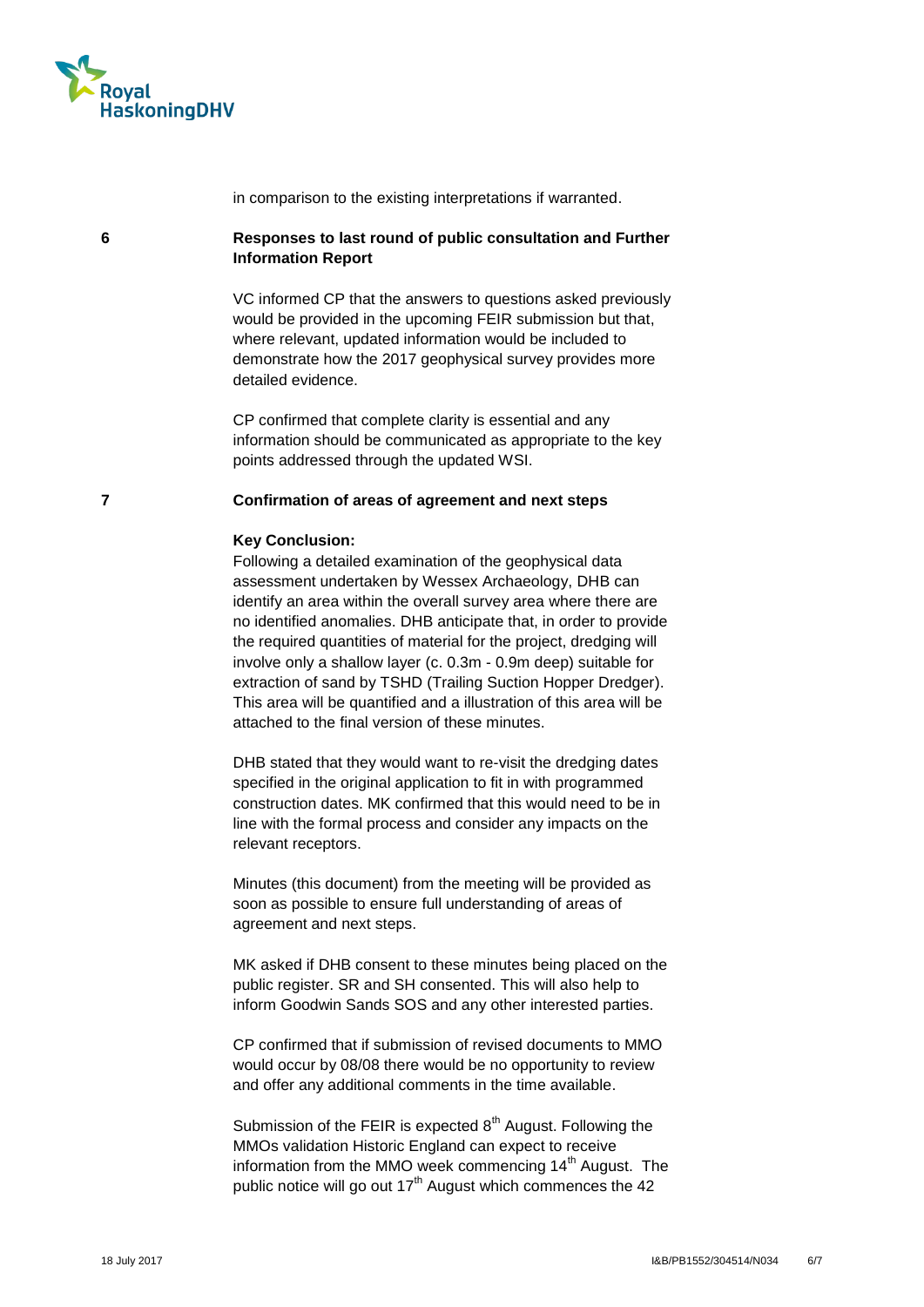

in comparison to the existing interpretations if warranted.

# **6 Responses to last round of public consultation and Further Information Report**

VC informed CP that the answers to questions asked previously would be provided in the upcoming FEIR submission but that, where relevant, updated information would be included to demonstrate how the 2017 geophysical survey provides more detailed evidence.

CP confirmed that complete clarity is essential and any information should be communicated as appropriate to the key points addressed through the updated WSI.

#### **7 Confirmation of areas of agreement and next steps**

#### **Key Conclusion:**

Following a detailed examination of the geophysical data assessment undertaken by Wessex Archaeology, DHB can identify an area within the overall survey area where there are no identified anomalies. DHB anticipate that, in order to provide the required quantities of material for the project, dredging will involve only a shallow layer (c. 0.3m - 0.9m deep) suitable for extraction of sand by TSHD (Trailing Suction Hopper Dredger). This area will be quantified and a illustration of this area will be attached to the final version of these minutes.

DHB stated that they would want to re-visit the dredging dates specified in the original application to fit in with programmed construction dates. MK confirmed that this would need to be in line with the formal process and consider any impacts on the relevant receptors.

Minutes (this document) from the meeting will be provided as soon as possible to ensure full understanding of areas of agreement and next steps.

MK asked if DHB consent to these minutes being placed on the public register. SR and SH consented. This will also help to inform Goodwin Sands SOS and any other interested parties.

CP confirmed that if submission of revised documents to MMO would occur by 08/08 there would be no opportunity to review and offer any additional comments in the time available.

Submission of the FEIR is expected  $8<sup>th</sup>$  August. Following the MMOs validation Historic England can expect to receive information from the MMO week commencing  $14<sup>th</sup>$  August. The public notice will go out 17<sup>th</sup> August which commences the 42